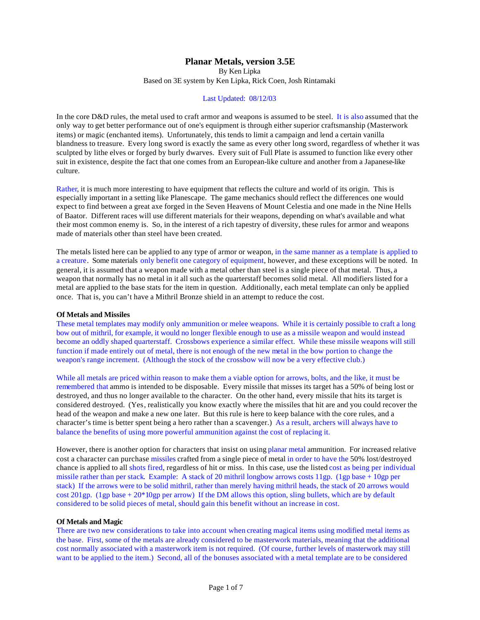# **Planar Metals, version 3.5E**

By Ken Lipka Based on 3E system by Ken Lipka, Rick Coen, Josh Rintamaki

# Last Updated: 08/12/03

In the core D&D rules, the metal used to craft armor and weapons is assumed to be steel. It is also assumed that the only way to get better performance out of one's equipment is through either superior craftsmanship (Masterwork items) or magic (enchanted items). Unfortunately, this tends to limit a campaign and lend a certain vanilla blandness to treasure. Every long sword is exactly the same as every other long sword, regardless of whether it was sculpted by lithe elves or forged by burly dwarves. Every suit of Full Plate is assumed to function like every other suit in existence, despite the fact that one comes from an European-like culture and another from a Japanese-like culture.

Rather, it is much more interesting to have equipment that reflects the culture and world of its origin. This is especially important in a setting like Planescape. The game mechanics should reflect the differences one would expect to find between a great axe forged in the Seven Heavens of Mount Celestia and one made in the Nine Hells of Baator. Different races will use different materials for their weapons, depending on what's available and what their most common enemy is. So, in the interest of a rich tapestry of diversity, these rules for armor and weapons made of materials other than steel have been created.

The metals listed here can be applied to any type of armor or weapon, in the same manner as a template is applied to a creature. Some materials only benefit one category of equipment, however, and these exceptions will be noted. In general, it is assumed that a weapon made with a metal other than steel is a single piece of that metal. Thus, a weapon that normally has no metal in it all such as the quarterstaff becomes solid metal. All modifiers listed for a metal are applied to the base stats for the item in question. Additionally, each metal template can only be applied once. That is, you can't have a Mithril Bronze shield in an attempt to reduce the cost.

### **Of Metals and Missiles**

These metal templates may modify only ammunition or melee weapons. While it is certainly possible to craft a long bow out of mithril, for example, it would no longer flexible enough to use as a missile weapon and would instead become an oddly shaped quarterstaff. Crossbows experience a similar effect. While these missile weapons will still function if made entirely out of metal, there is not enough of the new metal in the bow portion to change the weapon's range increment. (Although the stock of the crossbow will now be a very effective club.)

While all metals are priced within reason to make them a viable option for arrows, bolts, and the like, it must be remembered that ammo is intended to be disposable. Every missile that misses its target has a 50% of being lost or destroyed, and thus no longer available to the character. On the other hand, every missile that hits its target is considered destroyed. (Yes, realistically you know exactly where the missiles that hit are and you could recover the head of the weapon and make a new one later. But this rule is here to keep balance with the core rules, and a character's time is better spent being a hero rather than a scavenger.) As a result, archers will always have to balance the benefits of using more powerful ammunition against the cost of replacing it.

However, there is another option for characters that insist on using planar metal ammunition. For increased relative cost a character can purchase missiles crafted from a single piece of metal in order to have the 50% lost/destroyed chance is applied to all shots fired, regardless of hit or miss. In this case, use the listed cost as being per individual missile rather than per stack. Example: A stack of 20 mithril longbow arrows costs 11gp. (1gp base + 10gp per stack) If the arrows were to be solid mithril, rather than merely having mithril heads, the stack of 20 arrows would cost 201gp. (1gp base  $+20*10gp$  per arrow) If the DM allows this option, sling bullets, which are by default considered to be solid pieces of metal, should gain this benefit without an increase in cost.

#### **Of Metals and Magic**

There are two new considerations to take into account when creating magical items using modified metal items as the base. First, some of the metals are already considered to be masterwork materials, meaning that the additional cost normally associated with a masterwork item is not required. (Of course, further levels of masterwork may still want to be applied to the item.) Second, all of the bonuses associated with a metal template are to be considered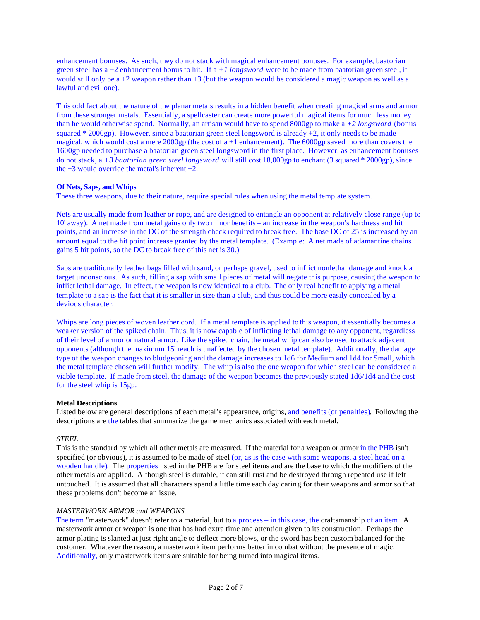enhancement bonuses. As such, they do not stack with magical enhancement bonuses. For example, baatorian green steel has a +2 enhancement bonus to hit. If a *+1 longsword* were to be made from baatorian green steel, it would still only be a +2 weapon rather than +3 (but the weapon would be considered a magic weapon as well as a lawful and evil one).

This odd fact about the nature of the planar metals results in a hidden benefit when creating magical arms and armor from these stronger metals. Essentially, a spellcaster can create more powerful magical items for much less money than he would otherwise spend. Normally, an artisan would have to spend 8000gp to make a *+2 longsword* (bonus squared \* 2000gp). However, since a baatorian green steel longsword is already +2, it only needs to be made magical, which would cost a mere 2000gp (the cost of  $a + 1$  enhancement). The 6000gp saved more than covers the 1600gp needed to purchase a baatorian green steel longsword in the first place. However, as enhancement bonuses do not stack, a *+3 baatorian green steel longsword* will still cost 18,000gp to enchant (3 squared \* 2000gp), since the  $+3$  would override the metal's inherent  $+2$ .

# **Of Nets, Saps, and Whips**

These three weapons, due to their nature, require special rules when using the metal template system.

Nets are usually made from leather or rope, and are designed to entangle an opponent at relatively close range (up to 10' away). A net made from metal gains only two minor benefits – an increase in the weapon's hardness and hit points, and an increase in the DC of the strength check required to break free. The base DC of 25 is increased by an amount equal to the hit point increase granted by the metal template. (Example: A net made of adamantine chains gains 5 hit points, so the DC to break free of this net is 30.)

Saps are traditionally leather bags filled with sand, or perhaps gravel, used to inflict nonlethal damage and knock a target unconscious. As such, filling a sap with small pieces of metal will negate this purpose, causing the weapon to inflict lethal damage. In effect, the weapon is now identical to a club. The only real benefit to applying a metal template to a sap is the fact that it is smaller in size than a club, and thus could be more easily concealed by a devious character.

Whips are long pieces of woven leather cord. If a metal template is applied to this weapon, it essentially becomes a weaker version of the spiked chain. Thus, it is now capable of inflicting lethal damage to any opponent, regardless of their level of armor or natural armor. Like the spiked chain, the metal whip can also be used to attack adjacent opponents (although the maximum 15' reach is unaffected by the chosen metal template). Additionally, the damage type of the weapon changes to bludgeoning and the damage increases to 1d6 for Medium and 1d4 for Small, which the metal template chosen will further modify. The whip is also the one weapon for which steel can be considered a viable template. If made from steel, the damage of the weapon becomes the previously stated 1d6/1d4 and the cost for the steel whip is 15gp.

### **Metal Descriptions**

Listed below are general descriptions of each metal's appearance, origins, and benefits (or penalties). Following the descriptions are the tables that summarize the game mechanics associated with each metal.

# *STEEL*

This is the standard by which all other metals are measured. If the material for a weapon or armor in the PHB isn't specified (or obvious), it is assumed to be made of steel (or, as is the case with some weapons, a steel head on a wooden handle). The properties listed in the PHB are for steel items and are the base to which the modifiers of the other metals are applied. Although steel is durable, it can still rust and be destroyed through repeated use if left untouched. It is assumed that all characters spend a little time each day caring for their weapons and armor so that these problems don't become an issue.

## *MASTERWORK ARMOR and WEAPONS*

The term "masterwork" doesn't refer to a material, but to a process – in this case, the craftsmanship of an item. A masterwork armor or weapon is one that has had extra time and attention given to its construction. Perhaps the armor plating is slanted at just right angle to deflect more blows, or the sword has been custom-balanced for the customer. Whatever the reason, a masterwork item performs better in combat without the presence of magic. Additionally, only masterwork items are suitable for being turned into magical items.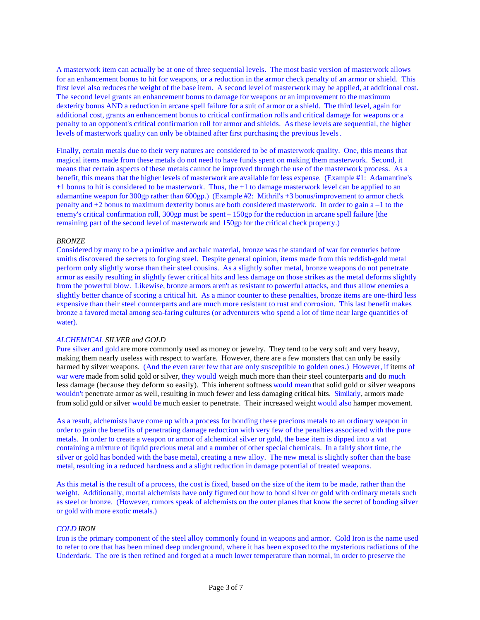A masterwork item can actually be at one of three sequential levels. The most basic version of masterwork allows for an enhancement bonus to hit for weapons, or a reduction in the armor check penalty of an armor or shield. This first level also reduces the weight of the base item. A second level of masterwork may be applied, at additional cost. The second level grants an enhancement bonus to damage for weapons or an improvement to the maximum dexterity bonus AND a reduction in arcane spell failure for a suit of armor or a shield. The third level, again for additional cost, grants an enhancement bonus to critical confirmation rolls and critical damage for weapons or a penalty to an opponent's critical confirmation roll for armor and shields. As these levels are sequential, the higher levels of masterwork quality can only be obtained after first purchasing the previous levels.

Finally, certain metals due to their very natures are considered to be of masterwork quality. One, this means that magical items made from these metals do not need to have funds spent on making them masterwork. Second, it means that certain aspects of these metals cannot be improved through the use of the masterwork process. As a benefit, this means that the higher levels of masterwork are available for less expense. (Example #1: Adamantine's +1 bonus to hit is considered to be masterwork. Thus, the +1 to damage masterwork level can be applied to an adamantine weapon for 300gp rather than 600gp.) (Example #2: Mithril's +3 bonus/improvement to armor check penalty and +2 bonus to maximum dexterity bonus are both considered masterwork. In order to gain a –1 to the enemy's critical confirmation roll, 300gp must be spent – 150gp for the reduction in arcane spell failure [the remaining part of the second level of masterwork and 150gp for the critical check property.)

# *BRONZE*

Considered by many to be a primitive and archaic material, bronze was the standard of war for centuries before smiths discovered the secrets to forging steel. Despite general opinion, items made from this reddish-gold metal perform only slightly worse than their steel cousins. As a slightly softer metal, bronze weapons do not penetrate armor as easily resulting in slightly fewer critical hits and less damage on those strikes as the metal deforms slightly from the powerful blow. Likewise, bronze armors aren't as resistant to powerful attacks, and thus allow enemies a slightly better chance of scoring a critical hit. As a minor counter to these penalties, bronze items are one-third less expensive than their steel counterparts and are much more resistant to rust and corrosion. This last benefit makes bronze a favored metal among sea-faring cultures (or adventurers who spend a lot of time near large quantities of water).

## *ALCHEMICAL SILVER and GOLD*

Pure silver and gold are more commonly used as money or jewelry. They tend to be very soft and very heavy, making them nearly useless with respect to warfare. However, there are a few monsters that can only be easily harmed by silver weapons. (And the even rarer few that are only susceptible to golden ones.) However, if items of war were made from solid gold or silver, they would weigh much more than their steel counterparts and do much less damage (because they deform so easily). This inherent softness would mean that solid gold or silver weapons wouldn't penetrate armor as well, resulting in much fewer and less damaging critical hits. Similarly, armors made from solid gold or silver would be much easier to penetrate. Their increased weight would also hamper movement.

As a result, alchemists have come up with a process for bonding these precious metals to an ordinary weapon in order to gain the benefits of penetrating damage reduction with very few of the penalties associated with the pure metals. In order to create a weapon or armor of alchemical silver or gold, the base item is dipped into a vat containing a mixture of liquid precious metal and a number of other special chemicals. In a fairly short time, the silver or gold has bonded with the base metal, creating a new alloy. The new metal is slightly softer than the base metal, resulting in a reduced hardness and a slight reduction in damage potential of treated weapons.

As this metal is the result of a process, the cost is fixed, based on the size of the item to be made, rather than the weight. Additionally, mortal alchemists have only figured out how to bond silver or gold with ordinary metals such as steel or bronze. (However, rumors speak of alchemists on the outer planes that know the secret of bonding silver or gold with more exotic metals.)

# *COLD IRON*

Iron is the primary component of the steel alloy commonly found in weapons and armor. Cold Iron is the name used to refer to ore that has been mined deep underground, where it has been exposed to the mysterious radiations of the Underdark. The ore is then refined and forged at a much lower temperature than normal, in order to preserve the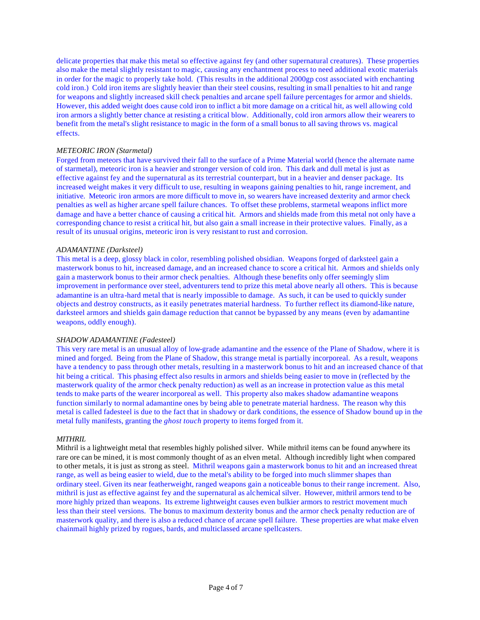delicate properties that make this metal so effective against fey (and other supernatural creatures). These properties also make the metal slightly resistant to magic, causing any enchantment process to need additional exotic materials in order for the magic to properly take hold. (This results in the additional 2000gp cost associated with enchanting cold iron.) Cold iron items are slightly heavier than their steel cousins, resulting in small penalties to hit and range for weapons and slightly increased skill check penalties and arcane spell failure percentages for armor and shields. However, this added weight does cause cold iron to inflict a bit more damage on a critical hit, as well allowing cold iron armors a slightly better chance at resisting a critical blow. Additionally, cold iron armors allow their wearers to benefit from the metal's slight resistance to magic in the form of a small bonus to all saving throws vs. magical effects.

# *METEORIC IRON (Starmetal)*

Forged from meteors that have survived their fall to the surface of a Prime Material world (hence the alternate name of starmetal), meteoric iron is a heavier and stronger version of cold iron. This dark and dull metal is just as effective against fey and the supernatural as its terrestrial counterpart, but in a heavier and denser package. Its increased weight makes it very difficult to use, resulting in weapons gaining penalties to hit, range increment, and initiative. Meteoric iron armors are more difficult to move in, so wearers have increased dexterity and armor check penalties as well as higher arcane spell failure chances. To offset these problems, starmetal weapons inflict more damage and have a better chance of causing a critical hit. Armors and shields made from this metal not only have a corresponding chance to resist a critical hit, but also gain a small increase in their protective values. Finally, as a result of its unusual origins, meteoric iron is very resistant to rust and corrosion.

### *ADAMANTINE (Darksteel)*

This metal is a deep, glossy black in color, resembling polished obsidian. Weapons forged of darksteel gain a masterwork bonus to hit, increased damage, and an increased chance to score a critical hit. Armors and shields only gain a masterwork bonus to their armor check penalties. Although these benefits only offer seemingly slim improvement in performance over steel, adventurers tend to prize this metal above nearly all others. This is because adamantine is an ultra-hard metal that is nearly impossible to damage. As such, it can be used to quickly sunder objects and destroy constructs, as it easily penetrates material hardness. To further reflect its diamond-like nature, darksteel armors and shields gain damage reduction that cannot be bypassed by any means (even by adamantine weapons, oddly enough).

## *SHADOW ADAMANTINE (Fadesteel)*

This very rare metal is an unusual alloy of low-grade adamantine and the essence of the Plane of Shadow, where it is mined and forged. Being from the Plane of Shadow, this strange metal is partially incorporeal. As a result, weapons have a tendency to pass through other metals, resulting in a masterwork bonus to hit and an increased chance of that hit being a critical. This phasing effect also results in armors and shields being easier to move in (reflected by the masterwork quality of the armor check penalty reduction) as well as an increase in protection value as this metal tends to make parts of the wearer incorporeal as well. This property also makes shadow adamantine weapons function similarly to normal adamantine ones by being able to penetrate material hardness. The reason why this metal is called fadesteel is due to the fact that in shadowy or dark conditions, the essence of Shadow bound up in the metal fully manifests, granting the *ghost touch* property to items forged from it.

#### *MITHRIL*

Mithril is a lightweight metal that resembles highly polished silver. While mithril items can be found anywhere its rare ore can be mined, it is most commonly thought of as an elven metal. Although incredibly light when compared to other metals, it is just as strong as steel. Mithril weapons gain a masterwork bonus to hit and an increased threat range, as well as being easier to wield, due to the metal's ability to be forged into much slimmer shapes than ordinary steel. Given its near featherweight, ranged weapons gain a noticeable bonus to their range increment. Also, mithril is just as effective against fey and the supernatural as alchemical silver. However, mithril armors tend to be more highly prized than weapons. Its extreme lightweight causes even bulkier armors to restrict movement much less than their steel versions. The bonus to maximum dexterity bonus and the armor check penalty reduction are of masterwork quality, and there is also a reduced chance of arcane spell failure. These properties are what make elven chainmail highly prized by rogues, bards, and multiclassed arcane spellcasters.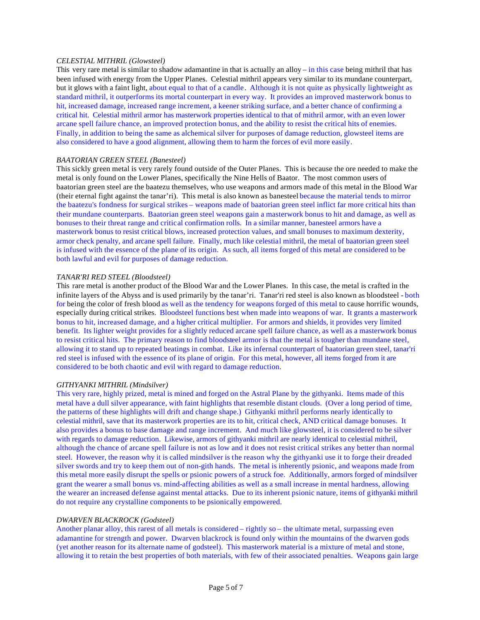# *CELESTIAL MITHRIL (Glowsteel)*

This very rare metal is similar to shadow adamantine in that is actually an alloy – in this case being mithril that has been infused with energy from the Upper Planes. Celestial mithril appears very similar to its mundane counterpart, but it glows with a faint light, about equal to that of a candle. Although it is not quite as physically lightweight as standard mithril, it outperforms its mortal counterpart in every way. It provides an improved masterwork bonus to hit, increased damage, increased range increment, a keener striking surface, and a better chance of confirming a critical hit. Celestial mithril armor has masterwork properties identical to that of mithril armor, with an even lower arcane spell failure chance, an improved protection bonus, and the ability to resist the critical hits of enemies. Finally, in addition to being the same as alchemical silver for purposes of damage reduction, glowsteel items are also considered to have a good alignment, allowing them to harm the forces of evil more easily.

# *BAATORIAN GREEN STEEL (Banesteel)*

This sickly green metal is very rarely found outside of the Outer Planes. This is because the ore needed to make the metal is only found on the Lower Planes, specifically the Nine Hells of Baator. The most common users of baatorian green steel are the baatezu themselves, who use weapons and armors made of this metal in the Blood War (their eternal fight against the tanar'ri). This metal is also known as banesteel because the material tends to mirror the baatezu's fondness for surgical strikes – weapons made of baatorian green steel inflict far more critical hits than their mundane counterparts. Baatorian green steel weapons gain a masterwork bonus to hit and damage, as well as bonuses to their threat range and critical confirmation rolls. In a similar manner, banesteel armors have a masterwork bonus to resist critical blows, increased protection values, and small bonuses to maximum dexterity, armor check penalty, and arcane spell failure. Finally, much like celestial mithril, the metal of baatorian green steel is infused with the essence of the plane of its origin. As such, all items forged of this metal are considered to be both lawful and evil for purposes of damage reduction.

### *TANAR'RI RED STEEL (Bloodsteel)*

This rare metal is another product of the Blood War and the Lower Planes. In this case, the metal is crafted in the infinite layers of the Abyss and is used primarily by the tanar'ri. Tanar'ri red steel is also known as bloodsteel - both for being the color of fresh blood as well as the tendency for weapons forged of this metal to cause horrific wounds, especially during critical strikes. Bloodsteel functions best when made into weapons of war. It grants a masterwork bonus to hit, increased damage, and a higher critical multiplier. For armors and shields, it provides very limited benefit. Its lighter weight provides for a slightly reduced arcane spell failure chance, as well as a masterwork bonus to resist critical hits. The primary reason to find bloodsteel armor is that the metal is tougher than mundane steel, allowing it to stand up to repeated beatings in combat. Like its infernal counterpart of baatorian green steel, tanar'ri red steel is infused with the essence of its plane of origin. For this metal, however, all items forged from it are considered to be both chaotic and evil with regard to damage reduction.

## *GITHYANKI MITHRIL (Mindsilver)*

This very rare, highly prized, metal is mined and forged on the Astral Plane by the githyanki. Items made of this metal have a dull silver appearance, with faint highlights that resemble distant clouds. (Over a long period of time, the patterns of these highlights will drift and change shape.) Githyanki mithril performs nearly identically to celestial mithril, save that its masterwork properties are its to hit, critical check, AND critical damage bonuses. It also provides a bonus to base damage and range increment. And much like glowsteel, it is considered to be silver with regards to damage reduction. Likewise, armors of githyanki mithril are nearly identical to celestial mithril, although the chance of arcane spell failure is not as low and it does not resist critical strikes any better than normal steel. However, the reason why it is called mindsilver is the reason why the githyanki use it to forge their dreaded silver swords and try to keep them out of non-gith hands. The metal is inherently psionic, and weapons made from this metal more easily disrupt the spells or psionic powers of a struck foe. Additionally, armors forged of mindsilver grant the wearer a small bonus vs. mind-affecting abilities as well as a small increase in mental hardness, allowing the wearer an increased defense against mental attacks. Due to its inherent psionic nature, items of githyanki mithril do not require any crystalline components to be psionically empowered.

#### *DWARVEN BLACKROCK (Godsteel)*

Another planar alloy, this rarest of all metals is considered – rightly so – the ultimate metal, surpassing even adamantine for strength and power. Dwarven blackrock is found only within the mountains of the dwarven gods (yet another reason for its alternate name of godsteel). This masterwork material is a mixture of metal and stone, allowing it to retain the best properties of both materials, with few of their associated penalties. Weapons gain large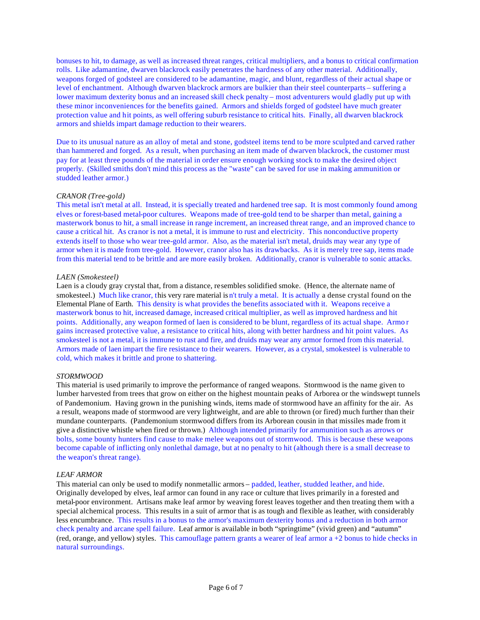bonuses to hit, to damage, as well as increased threat ranges, critical multipliers, and a bonus to critical confirmation rolls. Like adamantine, dwarven blackrock easily penetrates the hardness of any other material. Additionally, weapons forged of godsteel are considered to be adamantine, magic, and blunt, regardless of their actual shape or level of enchantment. Although dwarven blackrock armors are bulkier than their steel counterparts – suffering a lower maximum dexterity bonus and an increased skill check penalty – most adventurers would gladly put up with these minor inconveniences for the benefits gained. Armors and shields forged of godsteel have much greater protection value and hit points, as well offering suburb resistance to critical hits. Finally, all dwarven blackrock armors and shields impart damage reduction to their wearers.

Due to its unusual nature as an alloy of metal and stone, godsteel items tend to be more sculpted and carved rather than hammered and forged. As a result, when purchasing an item made of dwarven blackrock, the customer must pay for at least three pounds of the material in order ensure enough working stock to make the desired object properly. (Skilled smiths don't mind this process as the "waste" can be saved for use in making ammunition or studded leather armor.)

# *CRANOR (Tree-gold)*

This metal isn't metal at all. Instead, it is specially treated and hardened tree sap. It is most commonly found among elves or forest-based metal-poor cultures. Weapons made of tree-gold tend to be sharper than metal, gaining a masterwork bonus to hit, a small increase in range increment, an increased threat range, and an improved chance to cause a critical hit. As cranor is not a metal, it is immune to rust and electricity. This nonconductive property extends itself to those who wear tree-gold armor. Also, as the material isn't metal, druids may wear any type of armor when it is made from tree-gold. However, cranor also has its drawbacks. As it is merely tree sap, items made from this material tend to be brittle and are more easily broken. Additionally, cranor is vulnerable to sonic attacks.

### *LAEN (Smokesteel)*

Laen is a cloudy gray crystal that, from a distance, resembles solidified smoke. (Hence, the alternate name of smokesteel.) Much like cranor, this very rare material is n't truly a metal. It is actually a dense crystal found on the Elemental Plane of Earth. This density is what provides the benefits associated with it. Weapons receive a masterwork bonus to hit, increased damage, increased critical multiplier, as well as improved hardness and hit points. Additionally, any weapon formed of laen is considered to be blunt, regardless of its actual shape. Armo r gains increased protective value, a resistance to critical hits, along with better hardness and hit point values. As smokesteel is not a metal, it is immune to rust and fire, and druids may wear any armor formed from this material. Armors made of laen impart the fire resistance to their wearers. However, as a crystal, smokesteel is vulnerable to cold, which makes it brittle and prone to shattering.

### *STORMWOOD*

This material is used primarily to improve the performance of ranged weapons. Stormwood is the name given to lumber harvested from trees that grow on either on the highest mountain peaks of Arborea or the windswept tunnels of Pandemonium. Having grown in the punishing winds, items made of stormwood have an affinity for the air. As a result, weapons made of stormwood are very lightweight, and are able to thrown (or fired) much further than their mundane counterparts. (Pandemonium stormwood differs from its Arborean cousin in that missiles made from it give a distinctive whistle when fired or thrown.) Although intended primarily for ammunition such as arrows or bolts, some bounty hunters find cause to make melee weapons out of stormwood. This is because these weapons become capable of inflicting only nonlethal damage, but at no penalty to hit (although there is a small decrease to the weapon's threat range).

## *LEAF ARMOR*

This material can only be used to modify nonmetallic armors – padded, leather, studded leather, and hide. Originally developed by elves, leaf armor can found in any race or culture that lives primarily in a forested and metal-poor environment. Artisans make leaf armor by weaving forest leaves together and then treating them with a special alchemical process. This results in a suit of armor that is as tough and flexible as leather, with considerably less encumbrance. This results in a bonus to the armor's maximum dexterity bonus and a reduction in both armor check penalty and arcane spell failure. Leaf armor is available in both "springtime" (vivid green) and "autumn" (red, orange, and yellow) styles. This camouflage pattern grants a wearer of leaf armor a +2 bonus to hide checks in natural surroundings.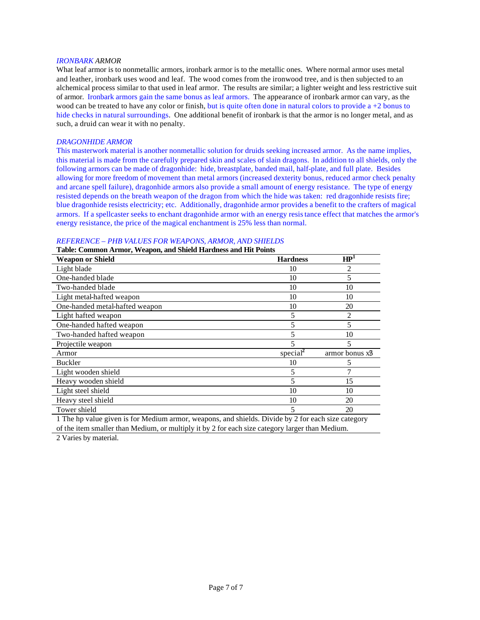#### *IRONBARK ARMOR*

What leaf armor is to nonmetallic armors, ironbark armor is to the metallic ones. Where normal armor uses metal and leather, ironbark uses wood and leaf. The wood comes from the ironwood tree, and is then subjected to an alchemical process similar to that used in leaf armor. The results are similar; a lighter weight and less restrictive suit of armor. Ironbark armors gain the same bonus as leaf armors. The appearance of ironbark armor can vary, as the wood can be treated to have any color or finish, but is quite often done in natural colors to provide  $a + 2$  bonus to hide checks in natural surroundings. One additional benefit of ironbark is that the armor is no longer metal, and as such, a druid can wear it with no penalty.

# *DRAGONHIDE ARMOR*

This masterwork material is another nonmetallic solution for druids seeking increased armor. As the name implies, this material is made from the carefully prepared skin and scales of slain dragons. In addition to all shields, only the following armors can be made of dragonhide: hide, breastplate, banded mail, half-plate, and full plate. Besides allowing for more freedom of movement than metal armors (increased dexterity bonus, reduced armor check penalty and arcane spell failure), dragonhide armors also provide a small amount of energy resistance. The type of energy resisted depends on the breath weapon of the dragon from which the hide was taken: red dragonhide resists fire; blue dragonhide resists electricity; etc. Additionally, dragonhide armor provides a benefit to the crafters of magical armors. If a spellcaster seeks to enchant dragonhide armor with an energy resistance effect that matches the armor's energy resistance, the price of the magical enchantment is 25% less than normal.

|  |  |  | REFERENCE - PHB VALUES FOR WEAPONS, ARMOR, AND SHIELDS |
|--|--|--|--------------------------------------------------------|
|--|--|--|--------------------------------------------------------|

### **Table: Common Armor, Weapon, and Shield Hardness and Hit Points**

| <b>Weapon or Shield</b>        | <b>Hardness</b>      | $\overline{\mathbf{H} \mathbf{P}^1}$ |
|--------------------------------|----------------------|--------------------------------------|
| Light blade                    | 10                   | $\mathfrak{D}$                       |
| One-handed blade               | 10                   | 5                                    |
| Two-handed blade               | 10                   | 10                                   |
| Light metal-hafted weapon      | 10                   | 10                                   |
| One-handed metal-hafted weapon | 10                   | 20                                   |
| Light hafted weapon            | 5                    | 2                                    |
| One-handed hafted weapon       | 5                    | 5                                    |
| Two-handed hafted weapon       | 5                    | 10                                   |
| Projectile weapon              |                      | 5                                    |
| Armor                          | special <sup>2</sup> | armor bonus x <sup>9</sup>           |
| <b>Buckler</b>                 | 10                   | 5                                    |
| Light wooden shield            | 5                    |                                      |
| Heavy wooden shield            | 5                    | 15                                   |
| Light steel shield             | 10                   | 10                                   |
| Heavy steel shield             | 10                   | 20                                   |
| Tower shield                   | 5                    | 20                                   |

1 The hp value given is for Medium armor, weapons, and shields. Divide by 2 for each size category of the item smaller than Medium, or multiply it by 2 for each size category larger than Medium.

2 Varies by material.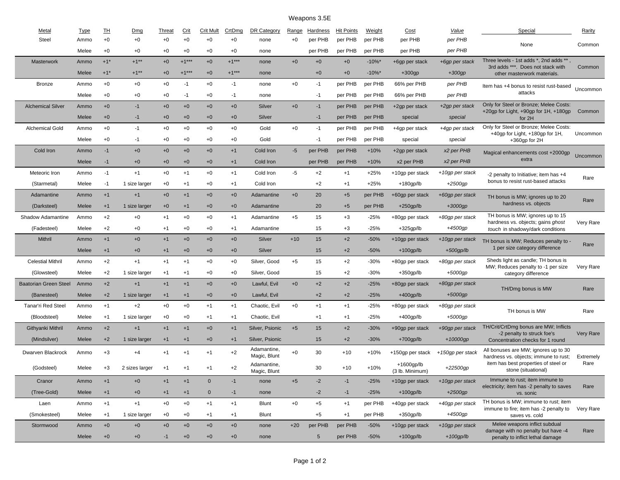# Weapons 3.5E

| Metal                        | <b>Type</b> | ᅖ                 | Dmg            | Threat | <b>Crit</b> | <b>Crit Mult</b> | CrtDmg  | DR Category                 | Range | Hardness   | <b>Hit Points</b> | Weight               | Cost                          | Value            | Special                                                                | Rarity    |
|------------------------------|-------------|-------------------|----------------|--------|-------------|------------------|---------|-----------------------------|-------|------------|-------------------|----------------------|-------------------------------|------------------|------------------------------------------------------------------------|-----------|
| <b>Steel</b>                 | Ammo        | $+0$              | $+0$           | $+0$   | $+0$        | $+0$             | $+0$    | none                        | $+0$  | per PHB    | per PHB           | per PHB              | per PHB                       | per PHB          | None                                                                   | Common    |
|                              | Melee       | $+0$              | $+0$           | $+0$   | $+0$        | $+0$             | $+0$    | none                        |       | per PHB    | per PHB           | per PHB              | per PHB                       | per PHB          |                                                                        |           |
| Masterwork                   | Ammo        | $+1$ <sup>*</sup> | $+1***$        | $+0$   | $+1***$     | $+0$             | $+1***$ | none                        | $+0$  | $+0$       | $+0$              | $-10\%$ *            | +6gp per stack                | +6gp per stack   | Three levels - 1st adds *, 2nd adds **                                 |           |
|                              | Melee       | $+1$ <sup>*</sup> | $+1***$        | $+0$   | $+1***$     | $+0$             | $+1***$ | none                        |       | $+0$       | $+0$              | $-10\%$ <sup>*</sup> | $+300$ gp                     | $+300$ gp        | 3rd adds ***. Does not stack with<br>other masterwork materials.       | Common    |
| <b>Bronze</b>                | Ammo        | $+0$              | $+0$           | $+0$   | $-1$        | $+0$             | $-1$    | none                        | $+0$  | -1         | per PHB           | per PHB              | 66% per PHB                   | per PHB          | Item has +4 bonus to resist rust-based                                 |           |
|                              | Melee       | $+0$              | $+0$           | $+0$   | $-1$        | $+0$             | $-1$    | none                        |       | -1         | per PHB           | per PHB              | 66% per PHB                   | per PHB          | attacks                                                                | Uncommon  |
| <b>Alchemical Silver</b>     | Ammo        | $+0$              | $-1$           | $+0$   | $+0$        | $+0$             | $+0$    | Silver                      | $+0$  | $-1$       | per PHB           | per PHB              | +2gp per stack                | +2gp per stack   | Only for Steel or Bronze; Melee Costs:                                 |           |
|                              | Melee       | $+0$              | $-1$           | $+0$   | $+0$        | $+0$             | $+0$    | Silver                      |       | $-1$       | per PHB           | per PHB              | special                       | special          | +20gp for Light, +90gp for 1H, +180gp<br>for 2H                        | Common    |
| <b>Alchemical Gold</b>       | Ammo        | $+0$              | $-1$           | $+0$   | $+0$        | $+0$             | $+0$    | Gold                        | $+0$  | -1         | per PHB           | per PHB              | +4gp per stack                | +4gp per stack   | Only for Steel or Bronze; Melee Costs:                                 |           |
|                              | Melee       | $+0$              | -1             | $+0$   | $+0$        | $+0$             | $+0$    | Gold                        |       | $-1$       | per PHB           | per PHB              | special                       | special          | +40gp for Light, +180gp for 1H,<br>$+360$ gp for $2H$                  | Uncommon  |
| Cold Iron                    | Ammo        | $-1$              | $+0$           | $+0$   | $+0$        | $+0$             | $+1$    | Cold Iron                   | $-5$  | per PHB    | per PHB           | $+10%$               | +2gp per stack                | x2 per PHB       | Magical enhancements cost +2000gp                                      |           |
|                              | Melee       | $-1$              | $+0$           | $+0$   | $+0$        | $+0$             | $+1$    | Cold Iron                   |       | per PHB    | per PHB           | $+10%$               | x2 per PHB                    | x2 per PHB       | extra                                                                  | Uncommon  |
| Meteoric Iron                | Ammo        | $-1$              | $+1$           | $+0$   | $+1$        | $+0$             | $+1$    | Cold Iron                   | -5    | $+2$       | $+1$              | $+25%$               | +10gp per stack               | +10gp per stack  | -2 penalty to Initiative; item has +4                                  |           |
| (Starmetal)                  | Melee       | $-1$              | 1 size larger  | $+0$   | $+1$        | $+0$             | $+1$    | Cold Iron                   |       | $+2$       | $+1$              | $+25%$               | $+180$ gp/lb                  | +2500gp          | bonus to resist rust-based attacks                                     | Rare      |
| Adamantine                   | Ammo        | $+1$              | $+1$           | $+0$   | $+1$        | $+0$             | $+0$    | Adamantine                  | $+0$  | 20         | $+5$              | per PHB              | +60gp per stack               | +60gp per stack  | TH bonus is MW; ignores up to 20                                       |           |
| (Darksteel)                  | Melee       | $+1$              | 1 size larger  | $+0$   | $+1$        | $+0$             | $+0$    | Adamantine                  |       | 20         | $+5$              | per PHB              | $+250$ gp/lb                  | $+3000gp$        | hardness vs. objects                                                   | Rare      |
| Shadow Adamantine            | Ammo        | $+2$              | $+0$           | $+1$   | $+0$        | $+0$             | $+1$    | Adamantine                  | $+5$  | 15         | $+3$              | $-25%$               | +80gp per stack               | +80gp per stack  | TH bonus is MW; ignores up to 15                                       |           |
| (Fadesteel)                  | Melee       | $+2$              | $+0$           | $+1$   | $+0$        | $+0$             | $+1$    | Adamantine                  |       | 15         | $+3$              | $-25%$               | $+325$ gp/lb                  | +4500gp          | hardness vs. objects; gains ghost<br>touch in shadowy/dark conditions  | Very Rare |
| Mithril                      | Ammo        | $+1$              | $+0$           | $+1$   | $+0$        | $+0$             | $+0$    | Silver                      | $+10$ | 15         | $+2$              | $-50%$               | +10gp per stack               | +10gp per stack  | TH bonus is MW; Reduces penalty to -                                   |           |
|                              | Melee       | $+1$              | $+0$           | $+1$   | $+0$        | $+0$             | $+0$    | Silver                      |       | 15         | $+2$              | $-50%$               | $+100$ gp/lb                  | $+500$ gp/lb     | 1 per size category difference                                         | Rare      |
| <b>Celestial Mithril</b>     | Ammo        | $+2$              | $+1$           | $+1$   | $+1$        | $+0$             | $+0$    | Silver, Good                | $+5$  | 15         | $+2$              | $-30%$               | +80gp per stack               | +80gp per stack  | Sheds light as candle; TH bonus is                                     |           |
| (Glowsteel)                  | Melee       | $+2$              | 1 size larger  | $+1$   | $+1$        | $+0$             | $+0$    | Silver, Good                |       | 15         | $+2$              | $-30%$               | +350gp/lb                     | $+5000gp$        | MW; Reduces penalty to -1 per size<br>category difference              | Very Rare |
| <b>Baatorian Green Steel</b> | Ammo        | $+2$              | $+1$           | $+1$   | $+1$        | $+0$             | $+0$    | Lawful, Evil                | $+0$  | $+2$       | $+2$              | $-25%$               | +80gp per stack               | +80gp per stack  |                                                                        |           |
| (Banesteel)                  | Melee       | $+2$              | 1 size larger  | $+1$   | $+1$        | $+0$             | $+0$    | Lawful, Evil                |       | $+2$       | $+2$              | $-25%$               | $+400$ gp/lb                  | $+5000gp$        | TH/Dmg bonus is MW                                                     | Rare      |
| Tanar'ri Red Steel           | Ammo        | $+1$              | $+2$           | $+0$   | $+0$        | $+1$             | $+1$    | Chaotic, Evil               | $+0$  | $+1$       | $+1$              | $-25%$               | +80gp per stack               | +80gp per stack  |                                                                        |           |
| (Bloodsteel)                 | Melee       | $+1$              | 1 size larger  | $+0$   | $+0$        | $+1$             | $+1$    | Chaotic, Evil               |       | $+1$       | $+1$              | $-25%$               | +400gp/lb                     | $+5000gp$        | TH bonus is MW                                                         | Rare      |
| Githyanki Mithril            | Ammo        | $+2$              | $+1$           | $+1$   | $+1$        | $+0$             | $+1$    | Silver, Psionic             | $+5$  | 15         | $+2$              | $-30%$               | +90gp per stack               | +90gp per stack  | TH/Crit/CrtDmg bonus are MW; Inflicts                                  |           |
| (Mindsilver)                 | Melee       | $+2$              | 1 size larger  | $+1$   | $+1$        | $+0$             | $+1$    | Silver, Psionic             |       | 15         | $+2$              | $-30%$               | $+700$ gp/lb                  | +10000gp         | -2 penalty to struck foe's<br>Concentration checks for 1 round         | Very Rare |
|                              |             |                   |                |        |             |                  |         | Adamantine,                 |       |            |                   |                      |                               |                  | All bonuses are MW; ignores up to 30                                   |           |
| Dwarven Blackrock            | Ammo        | $+3$              | $+4$           | $+1$   | $+1$        | $+1$             | $+2$    | Magic, Blunt                | $+0$  | 30         | $+10$             | $+10%$               | +150gp per stack              | +150gp per stack | hardness vs. objects; immune to rust;                                  | Extremely |
| (Godsteel)                   | Melee       | $+3$              | 2 sizes larger | $+1$   | $+1$        | $+1$             | $+2$    | Adamantine,<br>Magic, Blunt |       | 30         | $+10$             | $+10%$               | +1600gp/lb<br>(3 lb. Minimum) | +22500gp         | item has best properties of steel or<br>stone (situational)            | Rare      |
| Cranor                       | Ammo        | $+1$              | $+0$           | $+1$   | $+1$        | $\mathbf 0$      | $-1$    | none                        | $+5$  | $-2$       | $-1$              | $-25%$               | +10gp per stack               | +10gp per stack  | Immune to rust; item immune to                                         |           |
| (Tree-Gold)                  | Melee       | $+1$              | $+0$           | $+1$   | $+1$        | $\mathbf{0}$     | $-1$    | none                        |       | $-2$       | $-1$              | $-25%$               | $+100$ gp/lb                  | $+2500gp$        | electricity; item has -2 penalty to saves<br>vs. sonic                 | Rare      |
| Laen                         | Ammo        | $+1$              | $+1$           | $+0$   | $+0$        | $+1$             | $+1$    | <b>Blunt</b>                | $+0$  | $+5$       | $+1$              | per PHB              | +40gp per stack               | +40gp per stack  | TH bonus is MW; immune to rust; item                                   |           |
| (Smokesteel)                 | Melee       | $+1$              | 1 size larger  | $+0$   | $+0$        | $+1$             | $+1$    | <b>Blunt</b>                |       | $+5$       | $+1$              | per PHB              | $+350$ gp/lb                  | +4500gp          | immune to fire; item has -2 penalty to<br>saves vs. cold               | Very Rare |
| Stormwood                    | Ammo        | $+0$              | $+0$           | $+0$   | $+0$        | $+0$             | $+0$    | none                        | $+20$ | per PHB    | per PHB           | $-50%$               | +10gp per stack               | +10gp per stack  | Melee weapons inflict subdual                                          |           |
|                              | Melee       | $+0$              | $+0$           | $-1$   | $+0$        | $+0$             | $+0$    | none                        |       | $\sqrt{5}$ | per PHB           | $-50%$               | $+100$ gp/lb                  | $+100$ gp/lb     | damage with no penalty but have -4<br>penalty to inflict lethal damage | Rare      |
|                              |             |                   |                |        |             |                  |         |                             |       |            |                   |                      |                               |                  |                                                                        |           |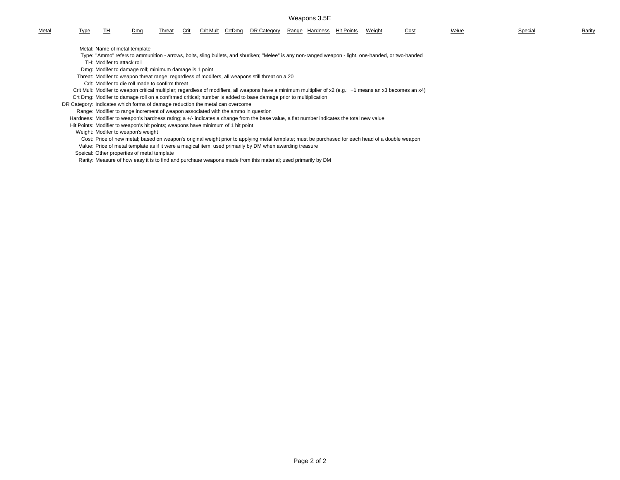#### Weapons 3.5E

| Metal | <u>l ype</u>                                                                  | ıп                         | Dmg                                                                               | Threat | Crit | <b>Crit Mult</b> | CrtDma | DR Category                                                                                                                               |  | Range Hardness Hit Points | Weight | <u>Cost</u>                                                                                                                                                | Value | Special | Rarity |
|-------|-------------------------------------------------------------------------------|----------------------------|-----------------------------------------------------------------------------------|--------|------|------------------|--------|-------------------------------------------------------------------------------------------------------------------------------------------|--|---------------------------|--------|------------------------------------------------------------------------------------------------------------------------------------------------------------|-------|---------|--------|
|       |                                                                               |                            | Metal: Name of metal template                                                     |        |      |                  |        |                                                                                                                                           |  |                           |        |                                                                                                                                                            |       |         |        |
|       |                                                                               |                            |                                                                                   |        |      |                  |        |                                                                                                                                           |  |                           |        | Type: "Ammo" refers to ammunition - arrows, bolts, sling bullets, and shuriken; "Melee" is any non-ranged weapon - light, one-handed, or two-handed        |       |         |        |
|       |                                                                               | TH: Modifer to attack roll |                                                                                   |        |      |                  |        |                                                                                                                                           |  |                           |        |                                                                                                                                                            |       |         |        |
|       |                                                                               |                            | Dmg: Modifer to damage roll; minimum damage is 1 point                            |        |      |                  |        |                                                                                                                                           |  |                           |        |                                                                                                                                                            |       |         |        |
|       |                                                                               |                            |                                                                                   |        |      |                  |        | Threat: Modifer to weapon threat range; regardless of modifers, all weapons still threat on a 20                                          |  |                           |        |                                                                                                                                                            |       |         |        |
|       |                                                                               |                            | Crit: Modifer to die roll made to confirm threat                                  |        |      |                  |        |                                                                                                                                           |  |                           |        |                                                                                                                                                            |       |         |        |
|       |                                                                               |                            |                                                                                   |        |      |                  |        |                                                                                                                                           |  |                           |        | Crit Mult: Modifer to weapon critical multipler; regardless of modifiers, all weapons have a minimum multiplier of x2 (e.g.: +1 means an x3 becomes an x4) |       |         |        |
|       |                                                                               |                            |                                                                                   |        |      |                  |        | Crt Dmg: Modifer to damage roll on a confirmed critical; number is added to base damage prior to multiplication                           |  |                           |        |                                                                                                                                                            |       |         |        |
|       | DR Category: Indicates which forms of damage reduction the metal can overcome |                            |                                                                                   |        |      |                  |        |                                                                                                                                           |  |                           |        |                                                                                                                                                            |       |         |        |
|       |                                                                               |                            | Range: Modifier to range increment of weapon associated with the ammo in question |        |      |                  |        |                                                                                                                                           |  |                           |        |                                                                                                                                                            |       |         |        |
|       |                                                                               |                            |                                                                                   |        |      |                  |        | Hardness: Modifier to weapon's hardness rating; a +/- indicates a change from the base value, a flat number indicates the total new value |  |                           |        |                                                                                                                                                            |       |         |        |
|       |                                                                               |                            | Hit Points: Modifier to weapon's hit points; weapons have minimum of 1 hit point  |        |      |                  |        |                                                                                                                                           |  |                           |        |                                                                                                                                                            |       |         |        |

#### Weight: Modifer to weapon's weight

Cost: Price of new metal; based on weapon's original weight prior to applying metal template; must be purchased for each head of a double weapon

Value: Price of metal template as if it were a magical item; used primarily by DM when awarding treasure

Speical: Other properties of metal template

Rarity: Measure of how easy it is to find and purchase weapons made from this material; used primarily by DM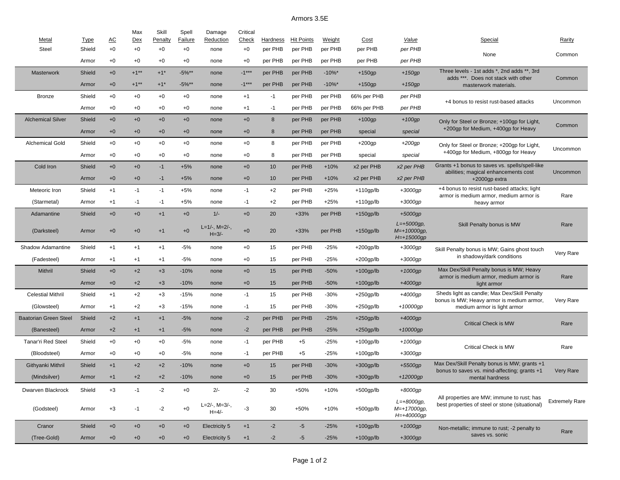# Armors 3.5E

| Metal                        | <b>Type</b> | AC   | Max<br>Dex | Skill<br>Penalty  | Spell<br>Failure | Damage<br>Reduction           | Critical<br>Check | Hardness | <b>Hit Points</b> | Weight    | <b>Cost</b>  | Value                                      | Special                                                                                       | Rarity                |
|------------------------------|-------------|------|------------|-------------------|------------------|-------------------------------|-------------------|----------|-------------------|-----------|--------------|--------------------------------------------|-----------------------------------------------------------------------------------------------|-----------------------|
| <b>Steel</b>                 | Shield      | $+0$ | $+0$       | $+0$              | $+0$             | none                          | $+0$              | per PHB  | per PHB           | per PHB   | per PHB      | per PHB                                    |                                                                                               |                       |
|                              | Armor       | $+0$ | $+0$       | $+0$              | $+0$             | none                          | $+0$              | per PHB  | per PHB           | per PHB   | per PHB      | per PHB                                    | None                                                                                          | Common                |
| <b>Masterwork</b>            | Shield      | $+0$ | $+1**$     | $+1$ <sup>*</sup> | $-5\%**$         | none                          | $-1***$           | per PHB  | per PHB           | $-10\%$ * | $+150gp$     | $+150gp$                                   | Three levels - 1st adds *, 2nd adds **, 3rd                                                   |                       |
|                              | Armor       | $+0$ | $+1**$     | $+1*$             | $-5\%**$         | none                          | $-1***$           | per PHB  | per PHB           | $-10\%$ * | $+150gp$     | $+150gp$                                   | adds ***. Does not stack with other<br>masterwork materials.                                  | Common                |
| <b>Bronze</b>                | Shield      | $+0$ | $+0$       | $+0$              | $+0$             | none                          | $+1$              | $-1$     | per PHB           | per PHB   | 66% per PHB  | per PHB                                    |                                                                                               |                       |
|                              | Armor       | $+0$ | $+0$       | $+0$              | $+0$             | none                          | $+1$              | $-1$     | per PHB           | per PHB   | 66% per PHB  | per PHB                                    | +4 bonus to resist rust-based attacks                                                         | Uncommon              |
| <b>Alchemical Silver</b>     | Shield      | $+0$ | $+0$       | $+0$              | $+0$             | none                          | $+0$              | 8        | per PHB           | per PHB   | $+100$ gp    | $+100$ gp                                  | Only for Steel or Bronze; +100gp for Light,                                                   |                       |
|                              | Armor       | $+0$ | $+0$       | $+0$              | $+0$             | none                          | $+0$              | 8        | per PHB           | per PHB   | special      | special                                    | +200qp for Medium, +400qp for Heavy                                                           | Common                |
| Alchemical Gold              | Shield      | $+0$ | $+0$       | $+0$              | $+0$             | none                          | $+0$              | 8        | per PHB           | per PHB   | $+200$ gp    | $+200$ gp                                  | Only for Steel or Bronze; +200gp for Light,                                                   |                       |
|                              | Armor       | $+0$ | $+0$       | $+0$              | $+0$             | none                          | $+0$              | 8        | per PHB           | per PHB   | special      | special                                    | +400gp for Medium, +800gp for Heavy                                                           | Uncommon              |
| Cold Iron                    | Shield      | $+0$ | $+0$       | $-1$              | $+5%$            | none                          | $+0$              | 10       | per PHB           | $+10%$    | x2 per PHB   | x2 per PHB                                 | Grants +1 bonus to saves vs. spells/spell-like                                                |                       |
|                              | Armor       | $+0$ | $+0$       | $-1$              | $+5%$            | none                          | $+0$              | 10       | per PHB           | $+10%$    | x2 per PHB   | x2 per PHB                                 | abilities; magical enhancements cost<br>$+2000$ gp extra                                      | Uncommon              |
| Meteoric Iron                | Shield      | $+1$ | -1         | $-1$              | $+5%$            | none                          | $-1$              | $+2$     | per PHB           | $+25%$    | $+110$ gp/lb | +3000gp                                    | +4 bonus to resist rust-based attacks; light                                                  |                       |
| (Starmetal)                  | Armor       | $+1$ | -1         | $-1$              | $+5%$            | none                          | $-1$              | $+2$     | per PHB           | $+25%$    | $+110gp/lb$  | $+3000$ gp                                 | armor is medium armor, medium armor is<br>heavy armor                                         | Rare                  |
| Adamantine                   | Shield      | $+0$ | $+0$       | $+1$              | $+0$             | $1/-$                         | $+0$              | 20       | $+33%$            | per PHB   | $+150$ gp/lb | $+5000$ gp                                 |                                                                                               |                       |
| (Darksteel)                  | Armor       | $+0$ | $+0$       | $+1$              | $+0$             | $L=1/-$ , M=2/-,              | $+0$              | 20       | $+33%$            | per PHB   | $+150$ gp/lb | $L = +5000$ gp,<br>M=+10000gp,             | Skill Penalty bonus is MW                                                                     | Rare                  |
|                              |             |      |            |                   |                  | $H = 3/-$                     |                   |          |                   |           |              | H=+15000gp                                 |                                                                                               |                       |
| Shadow Adamantine            | Shield      | $+1$ | $+1$       | $+1$              | $-5%$            | none                          | $+0$              | 15       | per PHB           | $-25%$    | $+200$ gp/lb | $+3000$ gp                                 | Skill Penalty bonus is MW; Gains ghost touch                                                  | Very Rare             |
| (Fadesteel)                  | Armor       | $+1$ | $+1$       | $+1$              | $-5%$            | none                          | $+0$              | 15       | per PHB           | $-25%$    | $+200$ gp/lb | $+3000$ gp                                 | in shadowy/dark conditions                                                                    |                       |
| Mithril                      | Shield      | $+0$ | $+2$       | $+3$              | $-10%$           | none                          | $+0$              | 15       | per PHB           | $-50%$    | $+100$ gp/lb | $+1000gp$                                  | Max Dex/Skill Penalty bonus is MW; Heavy<br>armor is medium armor, medium armor is            | Rare                  |
|                              | Armor       | $+0$ | $+2$       | $+3$              | $-10%$           | none                          | $+0$              | 15       | per PHB           | $-50%$    | $+100$ gp/lb | $+4000$ gp                                 | light armor                                                                                   |                       |
| <b>Celestial Mithril</b>     | Shield      | $+1$ | $+2$       | $+3$              | $-15%$           | none                          | $-1$              | 15       | per PHB           | $-30%$    | $+250$ gp/lb | +4000gp                                    | Sheds light as candle; Max Dex/Skill Penalty<br>bonus is MW; Heavy armor is medium armor,     | Very Rare             |
| (Glowsteel)                  | Armor       | $+1$ | $+2$       | $+3$              | $-15%$           | none                          | $-1$              | 15       | per PHB           | $-30%$    | $+250$ gp/lb | $+10000$ gp                                | medium armor is light armor                                                                   |                       |
| <b>Baatorian Green Steel</b> | Shield      | $+2$ | $+1$       | $+1$              | $-5%$            | none                          | $-2$              | per PHB  | per PHB           | $-25%$    | $+250$ gp/lb | $+4000$ gp                                 | <b>Critical Check is MW</b>                                                                   | Rare                  |
| (Banesteel)                  | Armor       | $+2$ | $+1$       | $+1$              | $-5%$            | none                          | $-2$              | per PHB  | per PHB           | $-25%$    | $+250$ gp/lb | +10000gp                                   |                                                                                               |                       |
| <b>Tanar'ri Red Steel</b>    | Shield      | $+0$ | $+0$       | $+0$              | -5%              | none                          | -1                | per PHB  | $+5$              | $-25%$    | $+100$ gp/lb | $+1000$ gp                                 | Critical Check is MW                                                                          | Rare                  |
| (Bloodsteel)                 | Armor       | $+0$ | $+0$       | $+0$              | $-5%$            | none                          | $-1$              | per PHB  | $+5$              | $-25%$    | $+100$ gp/lb | $+3000$ gp                                 |                                                                                               |                       |
| Githyanki Mithril            | Shield      | $+1$ | $+2$       | $+2$              | $-10%$           | none                          | $+0$              | 15       | per PHB           | $-30%$    | $+300$ gp/lb | $+5500$ gp                                 | Max Dex/Skill Penalty bonus is MW; grants +1<br>bonus to saves vs. mind-affecting; grants +1  | Very Rare             |
| (Mindsilver)                 | Armor       | $+1$ | $+2$       | $+2$              | $-10%$           | none                          | $+0$              | 15       | per PHB           | $-30%$    | $+300$ gp/lb | $+12000qp$                                 | mental hardness                                                                               |                       |
| Dwarven Blackrock            | Shield      | $+3$ | $-1$       | $-2$              | $+0$             | $2/-$                         | $-2$              | 30       | +50%              | $+10%$    | $+500$ gp/lb | +8000gp                                    |                                                                                               |                       |
| (Godsteel)                   | Armor       | $+3$ | $-1$       | $-2$              | $+0$             | $L=2/-$ , M=3/-,<br>$H = 4/-$ | $-3$              | 30       | $+50%$            | $+10%$    | $+500$ gp/lb | $L=+8000$ gp,<br>M=+17000gp,<br>H=+40000gp | All properties are MW; immune to rust; has<br>best properties of steel or stone (situational) | <b>Extremely Rare</b> |
| Cranor                       | Shield      | $+0$ | $+0$       | $+0$              | $+0$             | Electricity 5                 | $+1$              | $-2$     | $-5$              | $-25%$    | $+100$ gp/lb | $+1000gp$                                  | Non-metallic; immune to rust; -2 penalty to                                                   | Rare                  |
| (Tree-Gold)                  | Armor       | $+0$ | $+0$       | $+0$              | $+0$             | Electricity 5                 | $+1$              | $-2$     | $-5$              | $-25%$    | $+100$ gp/lb | $+3000$ gp                                 | saves vs. sonic                                                                               |                       |